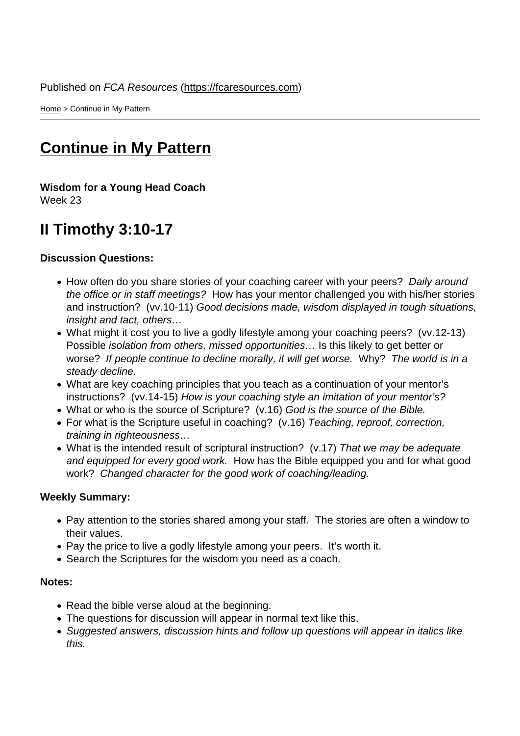Home > Continue in My Pattern

## [Con](https://fcaresources.com/)tinue in My Pattern

[Wisdom for a Young Head Coach](https://fcaresources.com/bible-study/continue-my-pattern) Week 23

## II Timothy 3:10-17

Discussion Questions:

- How often do you share stories of your coaching career with your peers? Daily around the office or in staff meetings? How has your mentor challenged you with his/her stories and instruction? (vv.10-11) Good decisions made, wisdom displayed in tough situations, insight and tact, others…
- What might it cost you to live a godly lifestyle among your coaching peers? (vv.12-13) Possible isolation from others, missed opportunities… Is this likely to get better or worse? If people continue to decline morally, it will get worse. Why? The world is in a steady decline.
- What are key coaching principles that you teach as a continuation of your mentor's instructions? (vv.14-15) How is your coaching style an imitation of your mentor's?
- What or who is the source of Scripture? (v.16) God is the source of the Bible.
- For what is the Scripture useful in coaching? (v.16) Teaching, reproof, correction, training in righteousness…
- What is the intended result of scriptural instruction? (v.17) That we may be adequate and equipped for every good work. How has the Bible equipped you and for what good work? Changed character for the good work of coaching/leading.

Weekly Summary:

- Pay attention to the stories shared among your staff. The stories are often a window to their values.
- Pay the price to live a godly lifestyle among your peers. It's worth it.
- Search the Scriptures for the wisdom you need as a coach.

Notes:

- Read the bible verse aloud at the beginning.
- The questions for discussion will appear in normal text like this.
- Suggested answers, discussion hints and follow up questions will appear in italics like this.